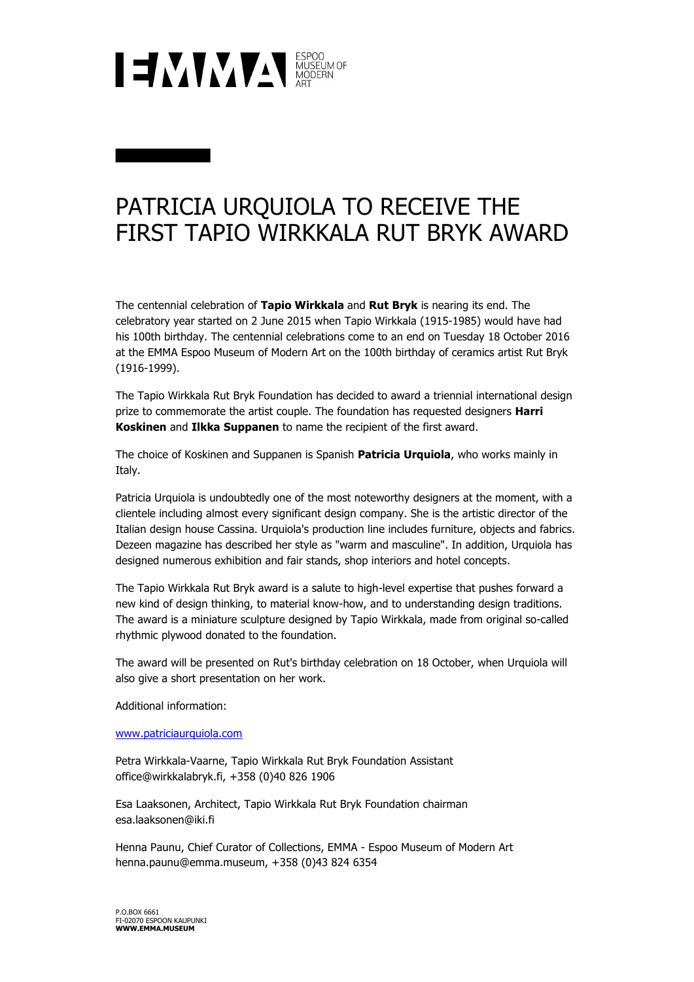

## PATRICIA URQUIOLA TO RECEIVE THE FIRST TAPIO WIRKKALA RUT BRYK AWARD

The centennial celebration of **Tapio Wirkkala** and **Rut Bryk** is nearing its end. The celebratory year started on 2 June 2015 when Tapio Wirkkala (1915-1985) would have had his 100th birthday. The centennial celebrations come to an end on Tuesday 18 October 2016 at the EMMA Espoo Museum of Modern Art on the 100th birthday of ceramics artist Rut Bryk (1916-1999).

The Tapio Wirkkala Rut Bryk Foundation has decided to award a triennial international design prize to commemorate the artist couple. The foundation has requested designers **Harri Koskinen** and **Ilkka Suppanen** to name the recipient of the first award.

The choice of Koskinen and Suppanen is Spanish **Patricia Urquiola**, who works mainly in Italy.

Patricia Urquiola is undoubtedly one of the most noteworthy designers at the moment, with a clientele including almost every significant design company. She is the artistic director of the Italian design house Cassina. Urquiola's production line includes furniture, objects and fabrics. Dezeen magazine has described her style as "warm and masculine". In addition, Urquiola has designed numerous exhibition and fair stands, shop interiors and hotel concepts.

The Tapio Wirkkala Rut Bryk award is a salute to high-level expertise that pushes forward a new kind of design thinking, to material know-how, and to understanding design traditions. The award is a miniature sculpture designed by Tapio Wirkkala, made from original so-called rhythmic plywood donated to the foundation.

The award will be presented on Rut's birthday celebration on 18 October, when Urquiola will also give a short presentation on her work.

Additional information:

www.patriciaurquiola.com

Petra Wirkkala-Vaarne, Tapio Wirkkala Rut Bryk Foundation Assistant office@wirkkalabryk.fi, +358 (0)40 826 1906

Esa Laaksonen, Architect, Tapio Wirkkala Rut Bryk Foundation chairman esa.laaksonen@iki.fi

Henna Paunu, Chief Curator of Collections, EMMA - Espoo Museum of Modern Art henna.paunu@emma.museum, +358 (0)43 824 6354